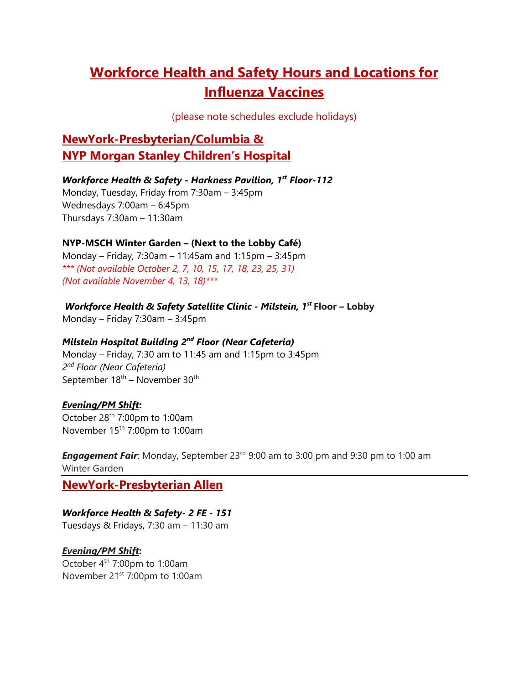# **Workforce Health and Safety Hours and Locations for Influenza Vaccines**

(please note schedules exclude holidays)

## **NewYork-Presbyterian/Columbia & NYP Morgan Stanley Children's Hospital**

### *Workforce Health & Safety - Harkness Pavilion, 1st Floor-112*

Monday, Tuesday, Friday from 7:30am – 3:45pm Wednesdays 7:00am – 6:45pm Thursdays 7:30am – 11:30am

### **NYP-MSCH Winter Garden – (Next to the Lobby Café)**

Monday – Friday, 7:30am – 11:45am and 1:15pm – 3:45pm *\*\*\* (Not available October 2, 7, 10, 15, 17, 18, 23, 25, 31) (Not available November 4, 13, 18)\*\*\** 

 *Workforce Health & Safety Satellite Clinic - Milstein, 1st* **Floor – Lobby** 

Monday – Friday 7:30am – 3:45pm

### *Milstein Hospital Building 2nd Floor (Near Cafeteria)*

Monday – Friday, 7:30 am to 11:45 am and 1:15pm to 3:45pm *2nd Floor (Near Cafeteria)* September 18<sup>th</sup> – November 30<sup>th</sup>

### *Evening/PM Shift***:**

October 28th 7:00pm to 1:00am November 15th 7:00pm to 1:00am

**Engagement Fair**: Monday, September 23<sup>rd</sup> 9:00 am to 3:00 pm and 9:30 pm to 1:00 am Winter Garden

**NewYork-Presbyterian Allen**

### *Workforce Health & Safety***-** *2 FE - 151*

Tuesdays & Fridays, 7:30 am – 11:30 am

### *Evening/PM Shift***:**

October 4th 7:00pm to 1:00am November 21st 7:00pm to 1:00am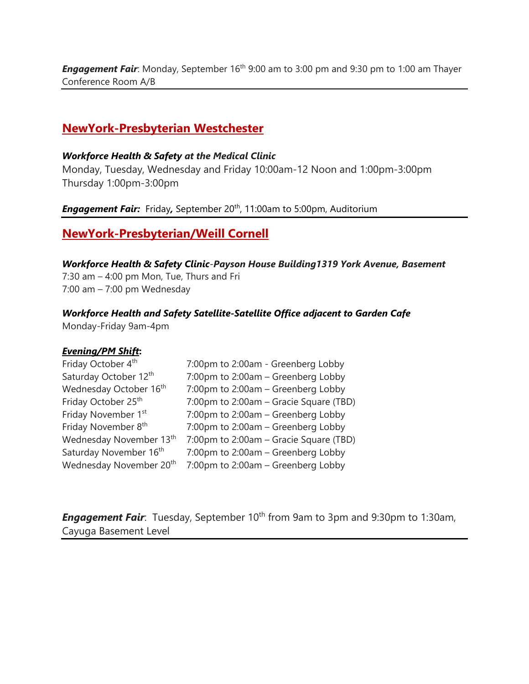**Engagement Fair**: Monday, September 16<sup>th</sup> 9:00 am to 3:00 pm and 9:30 pm to 1:00 am Thayer Conference Room A/B

### **NewYork-Presbyterian Westchester**

#### *Workforce Health & Safety at the Medical Clinic*

Monday, Tuesday, Wednesday and Friday 10:00am-12 Noon and 1:00pm-3:00pm Thursday 1:00pm-3:00pm

*Engagement Fair: Friday, September 20<sup>th</sup>, 11:00am to 5:00pm, Auditorium* 

### **NewYork-Presbyterian/Weill Cornell**

*Workforce Health & Safety Clinic*-*Payson House Building1319 York Avenue, Basement*  7:30 am – 4:00 pm Mon, Tue, Thurs and Fri 7:00 am – 7:00 pm Wednesday

### *Workforce Health and Safety Satellite-Satellite Office adjacent to Garden Cafe*

Monday-Friday 9am-4pm

### *Evening/PM Shift***:**

| Friday October 4 <sup>th</sup>      | 7:00pm to 2:00am - Greenberg Lobby     |
|-------------------------------------|----------------------------------------|
| Saturday October 12th               | 7:00pm to 2:00am - Greenberg Lobby     |
| Wednesday October 16 <sup>th</sup>  | 7:00pm to 2:00am - Greenberg Lobby     |
| Friday October 25 <sup>th</sup>     | 7:00pm to 2:00am - Gracie Square (TBD) |
| Friday November 1st                 | 7:00pm to 2:00am - Greenberg Lobby     |
| Friday November 8 <sup>th</sup>     | 7:00pm to 2:00am - Greenberg Lobby     |
| Wednesday November 13 <sup>th</sup> | 7:00pm to 2:00am - Gracie Square (TBD) |
| Saturday November 16 <sup>th</sup>  | 7:00pm to 2:00am - Greenberg Lobby     |
| Wednesday November 20 <sup>th</sup> | 7:00pm to 2:00am - Greenberg Lobby     |

*Engagement Fair*: Tuesday, September 10<sup>th</sup> from 9am to 3pm and 9:30pm to 1:30am, Cayuga Basement Level